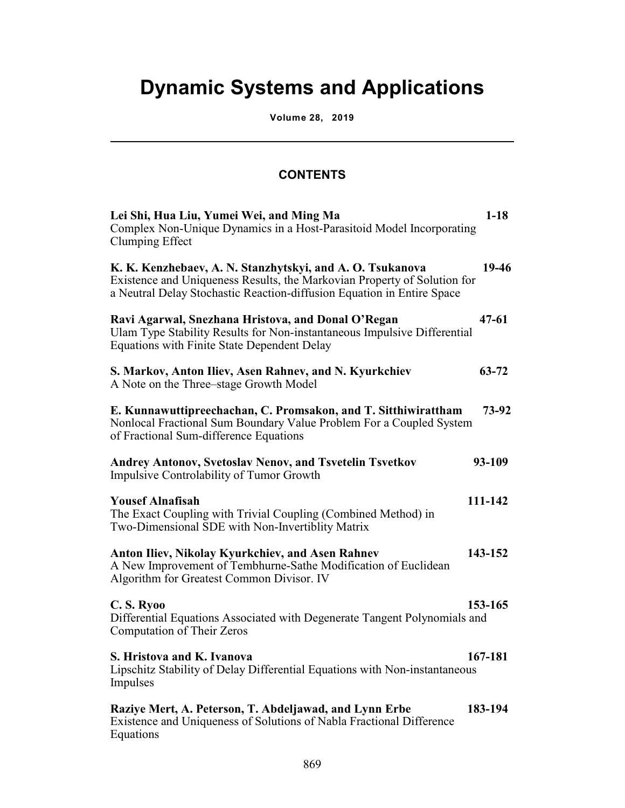## **Dynamic Systems and Applications**

**Volume 28, 2019**

l

## **CONTENTS**

| Lei Shi, Hua Liu, Yumei Wei, and Ming Ma<br>Complex Non-Unique Dynamics in a Host-Parasitoid Model Incorporating<br>Clumping Effect                                                                             | $1-18$    |
|-----------------------------------------------------------------------------------------------------------------------------------------------------------------------------------------------------------------|-----------|
| K. K. Kenzhebaev, A. N. Stanzhytskyi, and A. O. Tsukanova<br>Existence and Uniqueness Results, the Markovian Property of Solution for<br>a Neutral Delay Stochastic Reaction-diffusion Equation in Entire Space | 19-46     |
| Ravi Agarwal, Snezhana Hristova, and Donal O'Regan<br>Ulam Type Stability Results for Non-instantaneous Impulsive Differential<br>Equations with Finite State Dependent Delay                                   | $47 - 61$ |
| S. Markov, Anton Iliev, Asen Rahnev, and N. Kyurkchiev<br>A Note on the Three–stage Growth Model                                                                                                                | $63 - 72$ |
| E. Kunnawuttipreechachan, C. Promsakon, and T. Sitthiwirattham<br>Nonlocal Fractional Sum Boundary Value Problem For a Coupled System<br>of Fractional Sum-difference Equations                                 | 73-92     |
| <b>Andrey Antonov, Svetoslav Nenov, and Tsvetelin Tsvetkov</b><br><b>Impulsive Controlability of Tumor Growth</b>                                                                                               | 93-109    |
| <b>Yousef Alnafisah</b><br>The Exact Coupling with Trivial Coupling (Combined Method) in<br>Two-Dimensional SDE with Non-Invertiblity Matrix                                                                    | 111-142   |
| Anton Iliev, Nikolay Kyurkchiev, and Asen Rahnev<br>A New Improvement of Tembhurne-Sathe Modification of Euclidean<br>Algorithm for Greatest Common Divisor. IV                                                 | 143-152   |
| C.S. Ryoo<br>Differential Equations Associated with Degenerate Tangent Polynomials and<br><b>Computation of Their Zeros</b>                                                                                     | 153-165   |
| S. Hristova and K. Ivanova<br>Lipschitz Stability of Delay Differential Equations with Non-instantaneous<br>Impulses                                                                                            | 167-181   |
| Raziye Mert, A. Peterson, T. Abdeljawad, and Lynn Erbe<br>Existence and Uniqueness of Solutions of Nabla Fractional Difference<br>Equations                                                                     | 183-194   |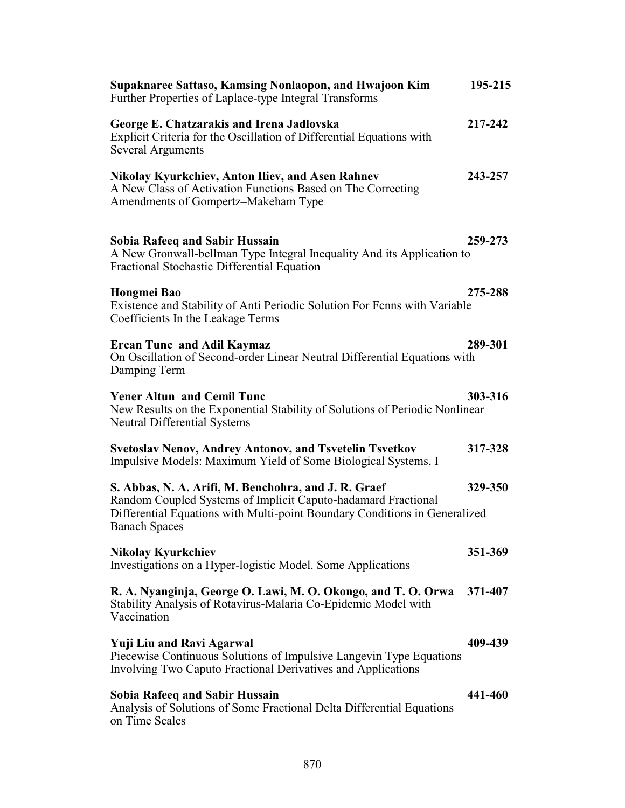| Supaknaree Sattaso, Kamsing Nonlaopon, and Hwajoon Kim<br>Further Properties of Laplace-type Integral Transforms                                                                                                            | 195-215 |
|-----------------------------------------------------------------------------------------------------------------------------------------------------------------------------------------------------------------------------|---------|
| George E. Chatzarakis and Irena Jadlovska<br>Explicit Criteria for the Oscillation of Differential Equations with<br><b>Several Arguments</b>                                                                               | 217-242 |
| <b>Nikolay Kyurkchiev, Anton Iliev, and Asen Rahnev</b><br>A New Class of Activation Functions Based on The Correcting<br>Amendments of Gompertz-Makeham Type                                                               | 243-257 |
| <b>Sobia Rafeeq and Sabir Hussain</b><br>A New Gronwall-bellman Type Integral Inequality And its Application to<br>Fractional Stochastic Differential Equation                                                              | 259-273 |
| Hongmei Bao<br>Existence and Stability of Anti Periodic Solution For Fenns with Variable<br>Coefficients In the Leakage Terms                                                                                               | 275-288 |
| <b>Ercan Tunc and Adil Kaymaz</b><br>On Oscillation of Second-order Linear Neutral Differential Equations with<br>Damping Term                                                                                              | 289-301 |
| <b>Yener Altun and Cemil Tunc</b><br>New Results on the Exponential Stability of Solutions of Periodic Nonlinear<br><b>Neutral Differential Systems</b>                                                                     | 303-316 |
| <b>Svetoslav Nenov, Andrey Antonov, and Tsvetelin Tsvetkov</b><br>Impulsive Models: Maximum Yield of Some Biological Systems, I                                                                                             | 317-328 |
| S. Abbas, N. A. Arifi, M. Benchohra, and J. R. Graef<br>Random Coupled Systems of Implicit Caputo-hadamard Fractional<br>Differential Equations with Multi-point Boundary Conditions in Generalized<br><b>Banach Spaces</b> | 329-350 |
| Nikolay Kyurkchiev<br>Investigations on a Hyper-logistic Model. Some Applications                                                                                                                                           | 351-369 |
| R. A. Nyanginja, George O. Lawi, M. O. Okongo, and T. O. Orwa<br>Stability Analysis of Rotavirus-Malaria Co-Epidemic Model with<br>Vaccination                                                                              | 371-407 |
| <b>Yuji Liu and Ravi Agarwal</b><br>Piecewise Continuous Solutions of Impulsive Langevin Type Equations<br>Involving Two Caputo Fractional Derivatives and Applications                                                     | 409-439 |
| <b>Sobia Rafeeq and Sabir Hussain</b><br>Analysis of Solutions of Some Fractional Delta Differential Equations<br>on Time Scales                                                                                            | 441-460 |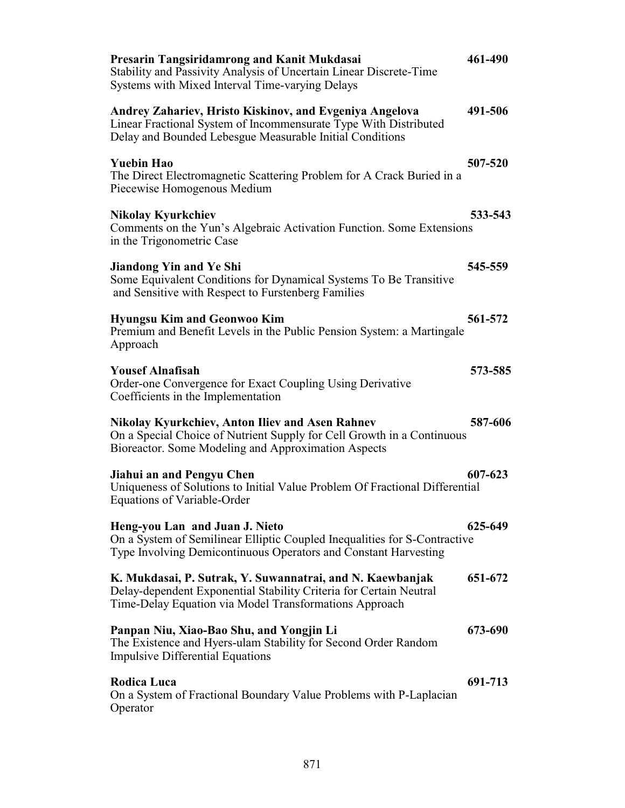| Presarin Tangsiridamrong and Kanit Mukdasai<br>Stability and Passivity Analysis of Uncertain Linear Discrete-Time<br>Systems with Mixed Interval Time-varying Delays                      | 461-490 |
|-------------------------------------------------------------------------------------------------------------------------------------------------------------------------------------------|---------|
| Andrey Zahariev, Hristo Kiskinov, and Evgeniya Angelova<br>Linear Fractional System of Incommensurate Type With Distributed<br>Delay and Bounded Lebesgue Measurable Initial Conditions   | 491-506 |
| <b>Yuebin Hao</b><br>The Direct Electromagnetic Scattering Problem for A Crack Buried in a<br>Piecewise Homogenous Medium                                                                 | 507-520 |
| <b>Nikolay Kyurkchiev</b><br>Comments on the Yun's Algebraic Activation Function. Some Extensions<br>in the Trigonometric Case                                                            | 533-543 |
| Jiandong Yin and Ye Shi<br>Some Equivalent Conditions for Dynamical Systems To Be Transitive<br>and Sensitive with Respect to Furstenberg Families                                        | 545-559 |
| <b>Hyungsu Kim and Geonwoo Kim</b><br>Premium and Benefit Levels in the Public Pension System: a Martingale<br>Approach                                                                   | 561-572 |
| <b>Yousef Alnafisah</b><br>Order-one Convergence for Exact Coupling Using Derivative<br>Coefficients in the Implementation                                                                | 573-585 |
| <b>Nikolay Kyurkchiev, Anton Iliev and Asen Rahnev</b><br>On a Special Choice of Nutrient Supply for Cell Growth in a Continuous<br>Bioreactor. Some Modeling and Approximation Aspects   | 587-606 |
| Jiahui an and Pengyu Chen<br>Uniqueness of Solutions to Initial Value Problem Of Fractional Differential<br>Equations of Variable-Order                                                   | 607-623 |
| Heng-you Lan and Juan J. Nieto<br>On a System of Semilinear Elliptic Coupled Inequalities for S-Contractive<br>Type Involving Demicontinuous Operators and Constant Harvesting            | 625-649 |
| K. Mukdasai, P. Sutrak, Y. Suwannatrai, and N. Kaewbanjak<br>Delay-dependent Exponential Stability Criteria for Certain Neutral<br>Time-Delay Equation via Model Transformations Approach | 651-672 |
| Panpan Niu, Xiao-Bao Shu, and Yongjin Li<br>The Existence and Hyers-ulam Stability for Second Order Random<br><b>Impulsive Differential Equations</b>                                     | 673-690 |
| Rodica Luca<br>On a System of Fractional Boundary Value Problems with P-Laplacian<br>Operator                                                                                             | 691-713 |